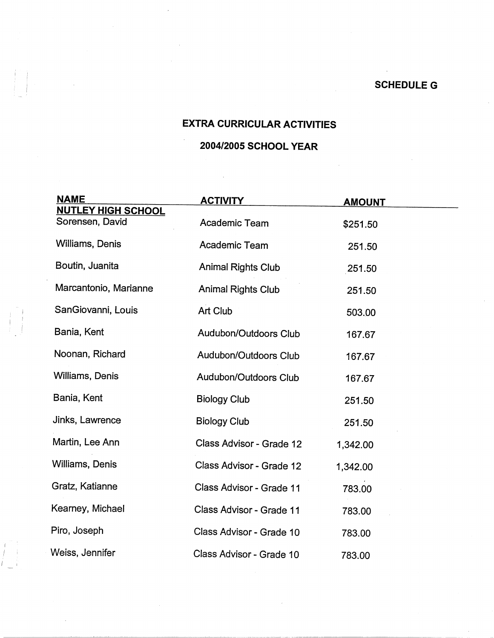## **EXTRA CURRICULAR ACTIVITIES**

## **2004/2005 SCHOOL YEAR**

| <b>NAME</b>                                  | <b>ACTIVITY</b>           | <b>AMOUNT</b> |  |
|----------------------------------------------|---------------------------|---------------|--|
| <b>NUTLEY HIGH SCHOOL</b><br>Sorensen, David | Academic Team             | \$251.50      |  |
| Williams, Denis                              | Academic Team             | 251.50        |  |
| Boutin, Juanita                              | <b>Animal Rights Club</b> | 251.50        |  |
| Marcantonio, Marianne                        | Animal Rights Club        | 251.50        |  |
| SanGiovanni, Louis                           | Art Club                  | 503.00        |  |
| Bania, Kent                                  | Audubon/Outdoors Club     | 167.67        |  |
| Noonan, Richard                              | Audubon/Outdoors Club     | 167.67        |  |
| Williams, Denis                              | Audubon/Outdoors Club     | 167.67        |  |
| Bania, Kent                                  | <b>Biology Club</b>       | 251.50        |  |
| Jinks, Lawrence                              | <b>Biology Club</b>       | 251.50        |  |
| Martin, Lee Ann                              | Class Advisor - Grade 12  | 1,342.00      |  |
| Williams, Denis                              | Class Advisor - Grade 12  | 1,342.00      |  |
| Gratz, Katianne                              | Class Advisor - Grade 11  | 783.00        |  |
| Kearney, Michael                             | Class Advisor - Grade 11  | 783.00        |  |
| Piro, Joseph                                 | Class Advisor - Grade 10  | 783.00        |  |
| Weiss, Jennifer                              | Class Advisor - Grade 10  | 783.00        |  |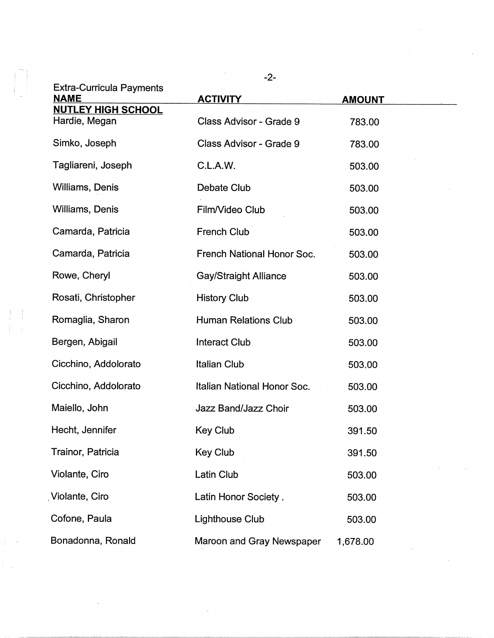|                                                | $-2-$                        |               |
|------------------------------------------------|------------------------------|---------------|
| <b>Extra-Curricula Payments</b><br><b>NAME</b> | <b>ACTIVITY</b>              | <b>AMOUNT</b> |
| <b>NUTLEY HIGH SCHOOL</b><br>Hardie, Megan     | Class Advisor - Grade 9      | 783.00        |
| Simko, Joseph                                  | Class Advisor - Grade 9      | 783.00        |
| Tagliareni, Joseph                             | C.L.A.W.                     | 503.00        |
| Williams, Denis                                | Debate Club                  | 503.00        |
| Williams, Denis                                | Film/Video Club              | 503.00        |
| Camarda, Patricia                              | French Club                  | 503.00        |
| Camarda, Patricia                              | French National Honor Soc.   | 503.00        |
| Rowe, Cheryl                                   | <b>Gay/Straight Alliance</b> | 503.00        |
| Rosati, Christopher                            | <b>History Club</b>          | 503.00        |
| Romaglia, Sharon                               | <b>Human Relations Club</b>  | 503.00        |
| Bergen, Abigail                                | <b>Interact Club</b>         | 503.00        |
| Cicchino, Addolorato                           | <b>Italian Club</b>          | 503.00        |
| Cicchino, Addolorato                           | Italian National Honor Soc.  | 503.00        |
| Maiello, John                                  | Jazz Band/Jazz Choir         | 503.00        |
| Hecht, Jennifer                                | Key Club                     | 391.50        |
| Trainor, Patricia                              | <b>Key Club</b>              | 391.50        |
| Violante, Ciro                                 | Latin Club                   | 503.00        |
| Violante, Ciro                                 | Latin Honor Society.         | 503.00        |
| Cofone, Paula                                  | Lighthouse Club              | 503.00        |
| Bonadonna, Ronald                              | Maroon and Gray Newspaper    | 1,678.00      |

 $\mathcal{L}^{\text{max}}_{\text{max}}$ 

 $\label{eq:2.1} \frac{1}{\sqrt{2}}\int_{0}^{\infty}\frac{1}{\sqrt{2\pi}}\left(\frac{1}{\sqrt{2\pi}}\right)^{2\alpha} \frac{1}{\sqrt{2\pi}}\int_{0}^{\infty}\frac{1}{\sqrt{2\pi}}\left(\frac{1}{\sqrt{2\pi}}\right)^{\alpha} \frac{1}{\sqrt{2\pi}}\frac{1}{\sqrt{2\pi}}\int_{0}^{\infty}\frac{1}{\sqrt{2\pi}}\frac{1}{\sqrt{2\pi}}\frac{1}{\sqrt{2\pi}}\frac{1}{\sqrt{2\pi}}\frac{1}{\sqrt{2\pi}}\frac{1}{\sqrt{2\pi}}$ 

 $\label{eq:2.1} \frac{1}{\sqrt{2\pi}}\int_{\mathbb{R}^3}\frac{1}{\sqrt{2\pi}}\int_{\mathbb{R}^3}\frac{1}{\sqrt{2\pi}}\int_{\mathbb{R}^3}\frac{1}{\sqrt{2\pi}}\int_{\mathbb{R}^3}\frac{1}{\sqrt{2\pi}}\int_{\mathbb{R}^3}\frac{1}{\sqrt{2\pi}}\frac{1}{\sqrt{2\pi}}\int_{\mathbb{R}^3}\frac{1}{\sqrt{2\pi}}\frac{1}{\sqrt{2\pi}}\frac{1}{\sqrt{2\pi}}\frac{1}{\sqrt{2\pi}}\frac{1}{\sqrt{2\pi}}\$ 

i '1

!<br>!<br>!<br>!<br>!

 $\begin{array}{l} \begin{array}{c} 0 \\ 1 \end{array} & \begin{array}{c} 0 \\ 1 \end{array} \\ \begin{array}{c} 1 \\ 1 \end{array} & \begin{array}{c} 0 \\ 1 \end{array} & \begin{array}{c} 0 \\ 1 \end{array} & \begin{array}{c} 0 \\ 1 \end{array} & \begin{array}{c} 0 \\ 1 \end{array} & \begin{array}{c} 0 \\ 1 \end{array} & \begin{array}{c} 0 \\ 1 \end{array} & \begin{array}{c} 0 \\ 1 \end{array} & \begin{array}{c} 0 \\ 1 \end{array} & \begin{array}{c} 0 \\ 1 \end{$ 

 $\label{eq:2} \frac{1}{\sqrt{2}}\left(\frac{1}{\sqrt{2}}\right)^{2} \left(\frac{1}{\sqrt{2}}\right)^{2} \left(\frac{1}{\sqrt{2}}\right)^{2} \left(\frac{1}{\sqrt{2}}\right)^{2} \left(\frac{1}{\sqrt{2}}\right)^{2} \left(\frac{1}{\sqrt{2}}\right)^{2} \left(\frac{1}{\sqrt{2}}\right)^{2} \left(\frac{1}{\sqrt{2}}\right)^{2} \left(\frac{1}{\sqrt{2}}\right)^{2} \left(\frac{1}{\sqrt{2}}\right)^{2} \left(\frac{1}{\sqrt{2}}\right)^{2} \left(\frac{$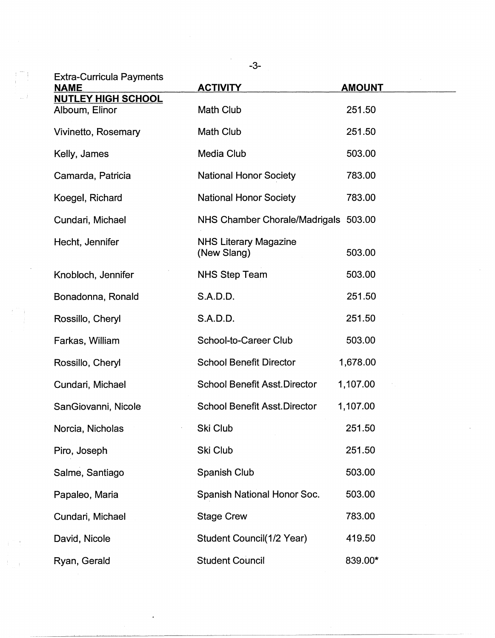|       | <b>Extra-Curricula Payments</b><br><b>NAME</b> | $-3-$<br><b>ACTIVITY</b>                    | <b>AMOUNT</b> |
|-------|------------------------------------------------|---------------------------------------------|---------------|
|       | <b>NUTLEY HIGH SCHOOL</b><br>Alboum, Elinor    | Math Club                                   | 251.50        |
|       | Vivinetto, Rosemary                            | Math Club                                   | 251.50        |
|       | Kelly, James                                   | Media Club                                  | 503.00        |
|       | Camarda, Patricia                              | <b>National Honor Society</b>               | 783.00        |
|       | Koegel, Richard                                | <b>National Honor Society</b>               | 783.00        |
|       | Cundari, Michael                               | NHS Chamber Chorale/Madrigals 503.00        |               |
|       | Hecht, Jennifer                                | <b>NHS Literary Magazine</b><br>(New Slang) | 503.00        |
|       | Knobloch, Jennifer                             | <b>NHS Step Team</b>                        | 503.00        |
|       | Bonadonna, Ronald                              | S.A.D.D.                                    | 251.50        |
|       | Rossillo, Cheryl                               | S.A.D.D.                                    | 251.50        |
|       | Farkas, William                                | School-to-Career Club                       | 503.00        |
|       | Rossillo, Cheryl                               | <b>School Benefit Director</b>              | 1,678.00      |
|       | Cundari, Michael                               | <b>School Benefit Asst.Director</b>         | 1,107.00      |
|       | SanGiovanni, Nicole                            | <b>School Benefit Asst.Director</b>         | 1,107.00      |
|       | Norcia, Nicholas                               | Ski Club                                    | 251.50        |
|       | Piro, Joseph                                   | Ski Club                                    | 251.50        |
|       | Salme, Santiago                                | Spanish Club                                | 503.00        |
|       | Papaleo, Maria                                 | Spanish National Honor Soc.                 | 503.00        |
|       | Cundari, Michael                               | <b>Stage Crew</b>                           | 783.00        |
|       | David, Nicole                                  | Student Council(1/2 Year)                   | 419.50        |
| di se | Ryan, Gerald                                   | <b>Student Council</b>                      | 839.00*       |

 $\mathcal{L}^{\text{max}}_{\text{max}}$  ,  $\mathcal{L}^{\text{max}}_{\text{max}}$ 

 $\hat{\mathcal{A}}$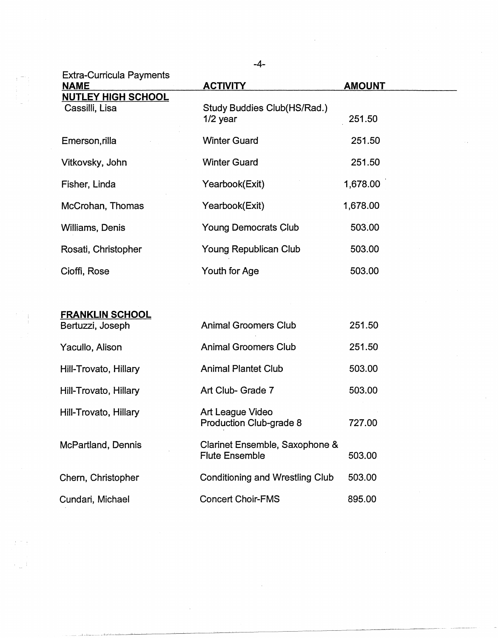| <b>Extra-Curricula Payments</b>             | -4-                                                     |               |
|---------------------------------------------|---------------------------------------------------------|---------------|
| <b>NAME</b>                                 | <b>ACTIVITY</b>                                         | <b>AMOUNT</b> |
| <b>NUTLEY HIGH SCHOOL</b><br>Cassilli, Lisa | Study Buddies Club(HS/Rad.)<br>$1/2$ year               | 251.50        |
| Emerson, rilla                              | <b>Winter Guard</b>                                     | 251.50        |
| Vitkovsky, John                             | <b>Winter Guard</b>                                     | 251.50        |
| Fisher, Linda                               | Yearbook(Exit)                                          | 1,678.00      |
| McCrohan, Thomas                            | Yearbook(Exit)                                          | 1,678.00      |
| Williams, Denis                             | <b>Young Democrats Club</b>                             | 503.00        |
| Rosati, Christopher                         | Young Republican Club                                   | 503.00        |
| Cioffi, Rose                                | Youth for Age                                           | 503.00        |
|                                             |                                                         |               |
| <b>FRANKLIN SCHOOL</b><br>Bertuzzi, Joseph  | <b>Animal Groomers Club</b>                             | 251.50        |
| Yacullo, Alison                             | <b>Animal Groomers Club</b>                             | 251.50        |
| Hill-Trovato, Hillary                       | <b>Animal Plantet Club</b>                              | 503.00        |
| Hill-Trovato, Hillary                       | Art Club- Grade 7                                       | 503.00        |
| Hill-Trovato, Hillary                       | Art League Video<br>Production Club-grade 8             | 727.00        |
| McPartland, Dennis                          | Clarinet Ensemble, Saxophone &<br><b>Flute Ensemble</b> | 503.00        |
| Chern, Christopher                          | <b>Conditioning and Wrestling Club</b>                  | 503.00        |
| Cundari, Michael                            | <b>Concert Choir-FMS</b>                                | 895.00        |

 $\begin{pmatrix} 1 & 1 \\ 1 & 1 \\ 1 & 1 \end{pmatrix}$ 

 $\hat{\mathcal{F}}_{\text{max}}$ 

 $\mathcal{L}_{\text{eff}}$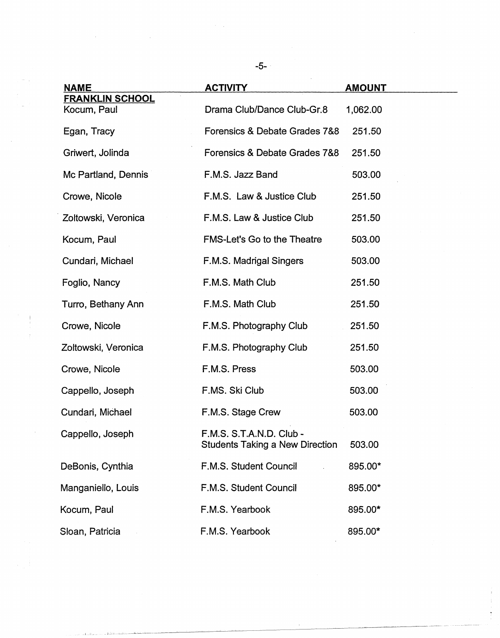| <b>NAME</b>                           | <b>ACTIVITY</b>                                                    | <b>AMOUNT</b> |
|---------------------------------------|--------------------------------------------------------------------|---------------|
| <b>FRANKLIN SCHOOL</b><br>Kocum, Paul | Drama Club/Dance Club-Gr.8                                         | 1,062.00      |
| Egan, Tracy                           | Forensics & Debate Grades 7&8                                      | 251.50        |
| Griwert, Jolinda                      | Forensics & Debate Grades 7&8                                      | 251.50        |
| Mc Partland, Dennis                   | F.M.S. Jazz Band                                                   | 503.00        |
| Crowe, Nicole                         | F.M.S. Law & Justice Club                                          | 251.50        |
| Zoltowski, Veronica                   | F.M.S. Law & Justice Club                                          | 251.50        |
| Kocum, Paul                           | <b>FMS-Let's Go to the Theatre</b>                                 | 503.00        |
| Cundari, Michael                      | F.M.S. Madrigal Singers                                            | 503.00        |
| Foglio, Nancy                         | F.M.S. Math Club                                                   | 251.50        |
| Turro, Bethany Ann                    | F.M.S. Math Club                                                   | 251.50        |
| Crowe, Nicole                         | F.M.S. Photography Club                                            | 251.50        |
| Zoltowski, Veronica                   | F.M.S. Photography Club                                            | 251.50        |
| Crowe, Nicole                         | F.M.S. Press                                                       | 503.00        |
| Cappello, Joseph                      | F.MS. Ski Club                                                     | 503.00        |
| Cundari, Michael                      | F.M.S. Stage Crew                                                  | 503.00        |
| Cappello, Joseph                      | F.M.S. S.T.A.N.D. Club -<br><b>Students Taking a New Direction</b> | 503.00        |
| DeBonis, Cynthia                      | F.M.S. Student Council                                             | 895.00*       |
| Manganiello, Louis                    | F.M.S. Student Council                                             | 895.00*       |
| Kocum, Paul                           | F.M.S. Yearbook                                                    | 895.00*       |
| Sloan, Patricia                       | F.M.S. Yearbook                                                    | 895.00*       |

 $\mathcal{A}^{\mathcal{A}}$ 

 $\langle \cdot, \cdot \rangle_{\mathcal{A}}$ 

 $\label{eq:2.1} \frac{1}{\sqrt{2}}\left(\frac{1}{\sqrt{2}}\right)^{2} \left(\frac{1}{\sqrt{2}}\right)^{2} \left(\frac{1}{\sqrt{2}}\right)^{2} \left(\frac{1}{\sqrt{2}}\right)^{2} \left(\frac{1}{\sqrt{2}}\right)^{2} \left(\frac{1}{\sqrt{2}}\right)^{2} \left(\frac{1}{\sqrt{2}}\right)^{2} \left(\frac{1}{\sqrt{2}}\right)^{2} \left(\frac{1}{\sqrt{2}}\right)^{2} \left(\frac{1}{\sqrt{2}}\right)^{2} \left(\frac{1}{\sqrt{2}}\right)^{2} \left(\$ 

 $\sim$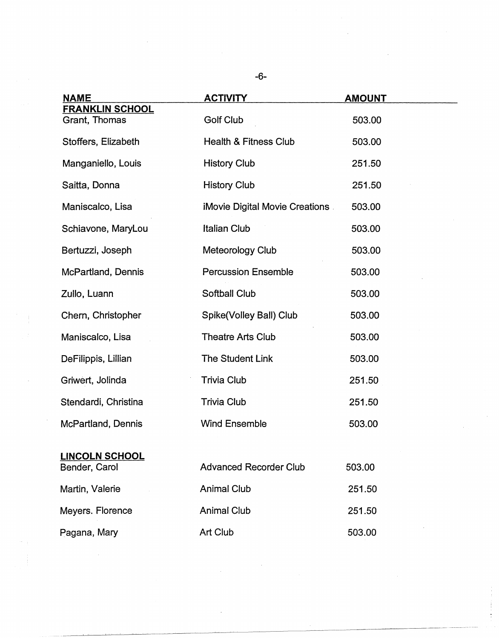| <b>NAME</b>                             | <b>ACTIVITY</b>                       | <u>AMOUNT</u> |
|-----------------------------------------|---------------------------------------|---------------|
| <b>FRANKLIN SCHOOL</b><br>Grant, Thomas | <b>Golf Club</b>                      | 503.00        |
| Stoffers, Elizabeth                     | Health & Fitness Club                 | 503.00        |
| Manganiello, Louis                      | <b>History Club</b>                   | 251.50        |
| Saitta, Donna                           | <b>History Club</b>                   | 251.50        |
| Maniscalco, Lisa                        | <b>iMovie Digital Movie Creations</b> | 503.00        |
| Schiavone, MaryLou                      | <b>Italian Club</b>                   | 503.00        |
| Bertuzzi, Joseph                        | Meteorology Club                      | 503.00        |
| McPartland, Dennis                      | <b>Percussion Ensemble</b>            | 503.00        |
| Zullo, Luann                            | <b>Softball Club</b>                  | 503.00        |
| Chern, Christopher                      | Spike(Volley Ball) Club               | 503.00        |
| Maniscalco, Lisa                        | <b>Theatre Arts Club</b>              | 503.00        |
| DeFilippis, Lillian                     | The Student Link                      | 503.00        |
| Griwert, Jolinda                        | <b>Trivia Club</b>                    | 251.50        |
| Stendardi, Christina                    | <b>Trivia Club</b>                    | 251.50        |
| <b>McPartland, Dennis</b>               | <b>Wind Ensemble</b>                  | 503.00        |
| <b>LINCOLN SCHOOL</b><br>Bender, Carol  | <b>Advanced Recorder Club</b>         | 503.00        |
| Martin, Valerie                         | <b>Animal Club</b>                    | 251.50        |
| Meyers. Florence                        | <b>Animal Club</b>                    | 251.50        |
| Pagana, Mary                            | Art Club                              | 503.00        |

 $\mathcal{A}^{\text{max}}_{\text{max}}$ 

-6-

 $\begin{aligned} \mathcal{F}^{(1)}_{\mathcal{A}}(\mathbf{r})= \mathcal{F}^{(1)}_{\mathcal{A}}(\mathbf{r})\\ \mathcal{F}^{(1)}_{\mathcal{A}}(\mathbf{r})= \mathcal{F}^{(1)}_{\mathcal{A}}(\mathbf{r}) \end{aligned}$ 

 $\mathcal{L}_{\text{max}}$ 

 $\frac{1}{2}$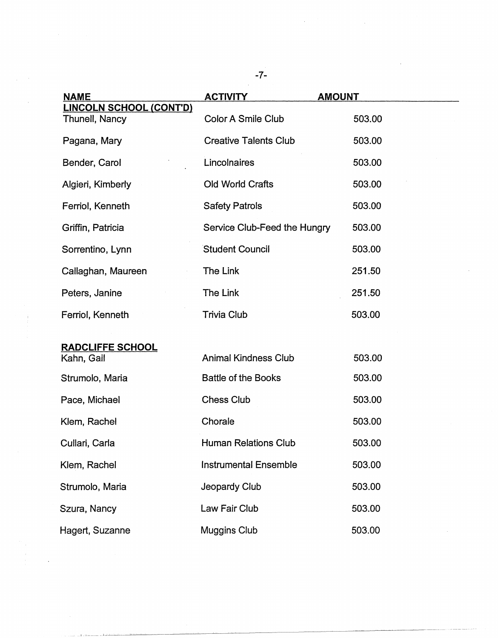| <b>NAME</b>                                      | <b>ACTIVITY</b>              | <b>AMOUNT</b> |
|--------------------------------------------------|------------------------------|---------------|
| <u>LINCOLN SCHOOL (CONT'D)</u><br>Thunell, Nancy | <b>Color A Smile Club</b>    | 503.00        |
| Pagana, Mary                                     | <b>Creative Talents Club</b> | 503.00        |
| Bender, Carol                                    | Lincolnaires                 | 503.00        |
| Algieri, Kimberly                                | Old World Crafts             | 503.00        |
| Ferriol, Kenneth                                 | <b>Safety Patrols</b>        | 503.00        |
| Griffin, Patricia                                | Service Club-Feed the Hungry | 503.00        |
| Sorrentino, Lynn                                 | <b>Student Council</b>       | 503.00        |
| Callaghan, Maureen                               | The Link                     | 251.50        |
| Peters, Janine                                   | The Link                     | 251.50        |
| Ferriol, Kenneth                                 | <b>Trivia Club</b>           | 503.00        |
| <b>RADCLIFFE SCHOOL</b>                          |                              |               |
| Kahn, Gail                                       | <b>Animal Kindness Club</b>  | 503.00        |
| Strumolo, Maria                                  | <b>Battle of the Books</b>   | 503.00        |
| Pace, Michael                                    | <b>Chess Club</b>            | 503.00        |
| Klem, Rachel                                     | Chorale                      | 503.00        |
| Cullari, Carla                                   | <b>Human Relations Club</b>  | 503.00        |
| Klem, Rachel                                     | <b>Instrumental Ensemble</b> | 503.00        |
| Strumolo, Maria                                  | Jeopardy Club                | 503.00        |
| Szura, Nancy                                     | Law Fair Club                | 503.00        |
| Hagert, Suzanne                                  | <b>Muggins Club</b>          | 503.00        |

 $\ddot{\phantom{0}}$ 

 $\frac{1}{2}$ 

 $\frac{1}{2}$ 

 $\ddot{\phantom{a}}$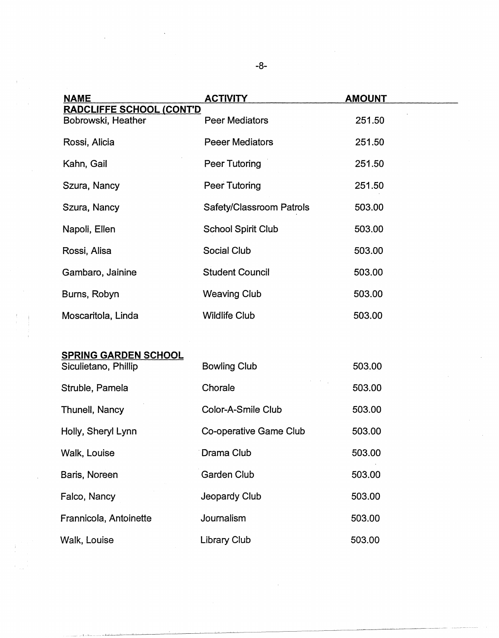| <u>NAME</u>                                         | <u>ACTIVITY</u>           | <b>AMOUNT</b> |
|-----------------------------------------------------|---------------------------|---------------|
| <b>RADCLIFFE SCHOOL (CONT'D</b>                     |                           |               |
| Bobrowski, Heather                                  | Peer Mediators            | 251.50        |
| Rossi, Alicia                                       | <b>Peeer Mediators</b>    | 251.50        |
| Kahn, Gail                                          | Peer Tutoring             | 251.50        |
| Szura, Nancy                                        | Peer Tutoring             | 251.50        |
| Szura, Nancy                                        | Safety/Classroom Patrols  | 503.00        |
| Napoli, Ellen                                       | <b>School Spirit Club</b> | 503.00        |
| Rossi, Alisa                                        | Social Club               | 503.00        |
| Gambaro, Jainine                                    | <b>Student Council</b>    | 503.00        |
| Burns, Robyn                                        | <b>Weaving Club</b>       | 503.00        |
| Moscaritola, Linda                                  | <b>Wildlife Club</b>      | 503.00        |
|                                                     |                           |               |
| <b>SPRING GARDEN SCHOOL</b><br>Siculietano, Phillip | <b>Bowling Club</b>       | 503.00        |
| Struble, Pamela                                     | Chorale                   | 503.00        |
| Thunell, Nancy                                      | Color-A-Smile Club        | 503.00        |
| Holly, Sheryl Lynn                                  | Co-operative Game Club    | 503.00        |
| Walk, Louise                                        | Drama Club                | 503.00        |
| Baris, Noreen                                       | Garden Club               | 503.00        |
| Falco, Nancy                                        | Jeopardy Club             | 503.00        |
| Frannicola, Antoinette                              | Journalism                | 503.00        |

Walk, Louise **Library Club Library Club** 503.00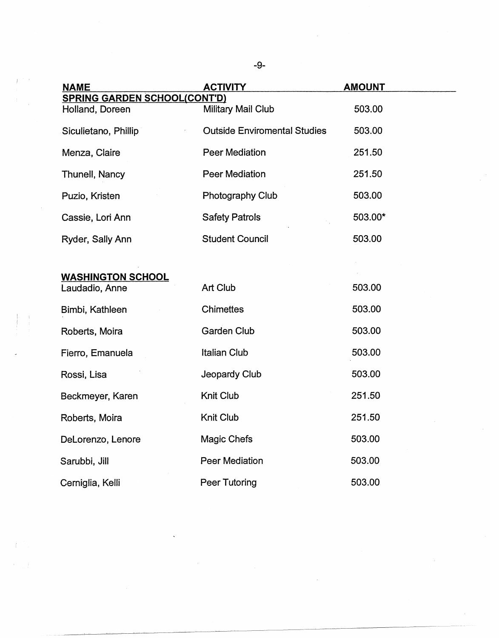| <b>NAME</b>                         | <b>ACTIVITY</b>                     | <b>AMOUNT</b> |
|-------------------------------------|-------------------------------------|---------------|
| <b>SPRING GARDEN SCHOOL(CONT'D)</b> |                                     |               |
| Holland, Doreen                     | Military Mail Club                  | 503.00        |
| Siculietano, Phillip                | <b>Outside Enviromental Studies</b> | 503.00        |
| Menza, Claire                       | <b>Peer Mediation</b>               | 251.50        |
| Thunell, Nancy                      | <b>Peer Mediation</b>               | 251.50        |
| Puzio, Kristen                      | Photography Club                    | 503.00        |
| Cassie, Lori Ann                    | <b>Safety Patrols</b>               | 503.00*       |
| Ryder, Sally Ann                    | <b>Student Council</b>              | 503.00        |
|                                     |                                     |               |
| <b>WASHINGTON SCHOOL</b>            |                                     |               |
| Laudadio, Anne                      | Art Club                            | 503.00        |
| Bimbi, Kathleen                     | <b>Chimettes</b>                    | 503.00        |
| Roberts, Moira                      | <b>Garden Club</b>                  | 503.00        |
| Fierro, Emanuela                    | <b>Italian Club</b>                 | 503.00        |
| Rossi, Lisa                         | Jeopardy Club                       | 503.00        |
| Beckmeyer, Karen                    | Knit Club                           | 251.50        |
| Roberts, Moira                      | Knit Club                           | 251.50        |
| DeLorenzo, Lenore                   | Magic Chefs                         | 503.00        |
| Sarubbi, Jill                       | <b>Peer Mediation</b>               | 503.00        |
| Cerniglia, Kelli                    | Peer Tutoring                       | 503.00        |

-9-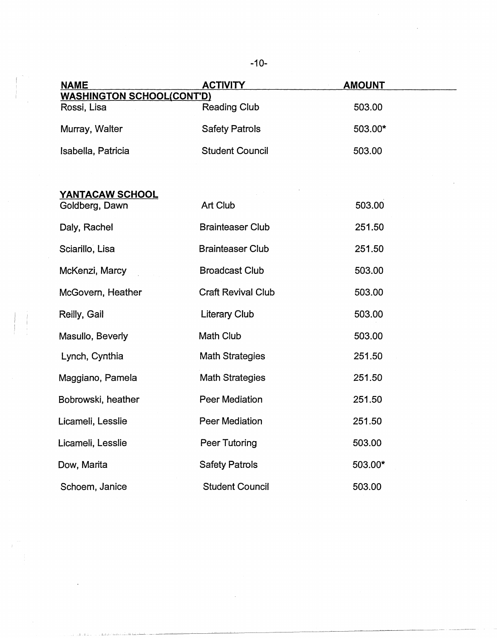| <b>NAME</b>                                     | <b>ACTIVITY</b>           | <b>AMOUNT</b> |
|-------------------------------------------------|---------------------------|---------------|
| <b>WASHINGTON SCHOOL(CONT'D)</b><br>Rossi, Lisa | <b>Reading Club</b>       | 503.00        |
|                                                 |                           |               |
| Murray, Walter                                  | <b>Safety Patrols</b>     | 503.00*       |
| Isabella, Patricia                              | <b>Student Council</b>    | 503.00        |
|                                                 |                           |               |
| YANTACAW SCHOOL                                 |                           |               |
| Goldberg, Dawn                                  | Art Club                  | 503.00        |
| Daly, Rachel                                    | <b>Brainteaser Club</b>   | 251.50        |
| Sciarillo, Lisa                                 | <b>Brainteaser Club</b>   | 251.50        |
| McKenzi, Marcy                                  | <b>Broadcast Club</b>     | 503.00        |
| McGovern, Heather                               | <b>Craft Revival Club</b> | 503.00        |
| Reilly, Gail                                    | <b>Literary Club</b>      | 503.00        |
| Masullo, Beverly                                | Math Club                 | 503.00        |
| Lynch, Cynthia                                  | <b>Math Strategies</b>    | 251.50        |
| Maggiano, Pamela                                | <b>Math Strategies</b>    | 251.50        |
| Bobrowski, heather                              | <b>Peer Mediation</b>     | 251.50        |
| Licameli, Lesslie                               | <b>Peer Mediation</b>     | 251.50        |
| Licameli, Lesslie                               | Peer Tutoring             | 503.00        |
| Dow, Marita                                     | <b>Safety Patrols</b>     | 503.00*       |
| Schoem, Janice                                  | <b>Student Council</b>    | 503.00        |